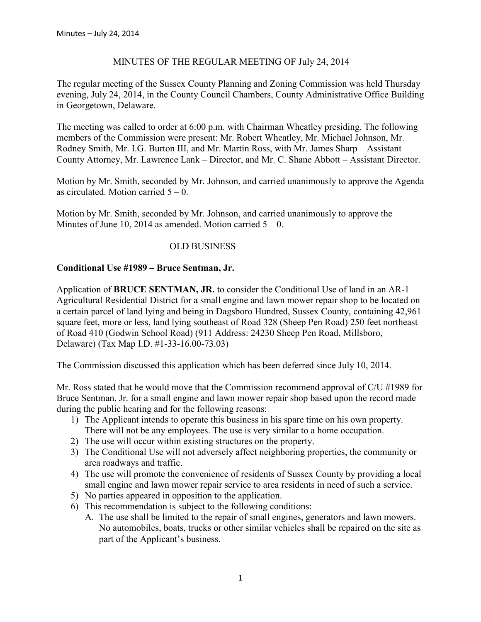### MINUTES OF THE REGULAR MEETING OF July 24, 2014

The regular meeting of the Sussex County Planning and Zoning Commission was held Thursday evening, July 24, 2014, in the County Council Chambers, County Administrative Office Building in Georgetown, Delaware.

The meeting was called to order at 6:00 p.m. with Chairman Wheatley presiding. The following members of the Commission were present: Mr. Robert Wheatley, Mr. Michael Johnson, Mr. Rodney Smith, Mr. I.G. Burton III, and Mr. Martin Ross, with Mr. James Sharp – Assistant County Attorney, Mr. Lawrence Lank – Director, and Mr. C. Shane Abbott – Assistant Director.

Motion by Mr. Smith, seconded by Mr. Johnson, and carried unanimously to approve the Agenda as circulated. Motion carried  $5 - 0$ .

Motion by Mr. Smith, seconded by Mr. Johnson, and carried unanimously to approve the Minutes of June 10, 2014 as amended. Motion carried  $5 - 0$ .

### OLD BUSINESS

### **Conditional Use #1989 – Bruce Sentman, Jr.**

Application of **BRUCE SENTMAN, JR.** to consider the Conditional Use of land in an AR-1 Agricultural Residential District for a small engine and lawn mower repair shop to be located on a certain parcel of land lying and being in Dagsboro Hundred, Sussex County, containing 42,961 square feet, more or less, land lying southeast of Road 328 (Sheep Pen Road) 250 feet northeast of Road 410 (Godwin School Road) (911 Address: 24230 Sheep Pen Road, Millsboro, Delaware) (Tax Map I.D. #1-33-16.00-73.03)

The Commission discussed this application which has been deferred since July 10, 2014.

Mr. Ross stated that he would move that the Commission recommend approval of C/U #1989 for Bruce Sentman, Jr. for a small engine and lawn mower repair shop based upon the record made during the public hearing and for the following reasons:

- 1) The Applicant intends to operate this business in his spare time on his own property. There will not be any employees. The use is very similar to a home occupation.
- 2) The use will occur within existing structures on the property.
- 3) The Conditional Use will not adversely affect neighboring properties, the community or area roadways and traffic.
- 4) The use will promote the convenience of residents of Sussex County by providing a local small engine and lawn mower repair service to area residents in need of such a service.
- 5) No parties appeared in opposition to the application.
- 6) This recommendation is subject to the following conditions:
	- A. The use shall be limited to the repair of small engines, generators and lawn mowers. No automobiles, boats, trucks or other similar vehicles shall be repaired on the site as part of the Applicant's business.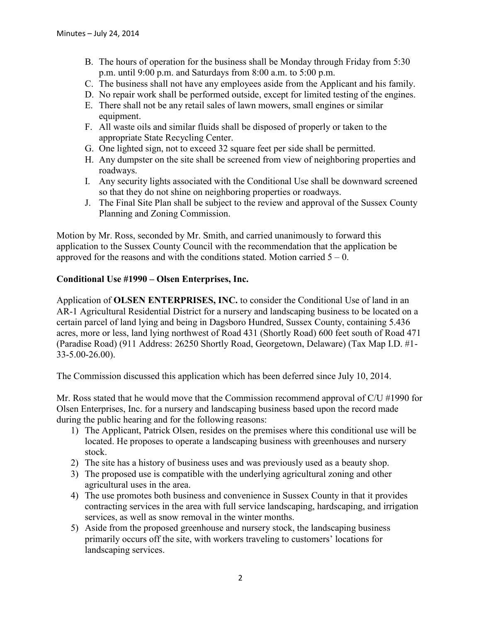- B. The hours of operation for the business shall be Monday through Friday from 5:30 p.m. until 9:00 p.m. and Saturdays from 8:00 a.m. to 5:00 p.m.
- C. The business shall not have any employees aside from the Applicant and his family.
- D. No repair work shall be performed outside, except for limited testing of the engines.
- E. There shall not be any retail sales of lawn mowers, small engines or similar equipment.
- F. All waste oils and similar fluids shall be disposed of properly or taken to the appropriate State Recycling Center.
- G. One lighted sign, not to exceed 32 square feet per side shall be permitted.
- H. Any dumpster on the site shall be screened from view of neighboring properties and roadways.
- I. Any security lights associated with the Conditional Use shall be downward screened so that they do not shine on neighboring properties or roadways.
- J. The Final Site Plan shall be subject to the review and approval of the Sussex County Planning and Zoning Commission.

Motion by Mr. Ross, seconded by Mr. Smith, and carried unanimously to forward this application to the Sussex County Council with the recommendation that the application be approved for the reasons and with the conditions stated. Motion carried  $5 - 0$ .

# **Conditional Use #1990 – Olsen Enterprises, Inc.**

Application of **OLSEN ENTERPRISES, INC.** to consider the Conditional Use of land in an AR-1 Agricultural Residential District for a nursery and landscaping business to be located on a certain parcel of land lying and being in Dagsboro Hundred, Sussex County, containing 5.436 acres, more or less, land lying northwest of Road 431 (Shortly Road) 600 feet south of Road 471 (Paradise Road) (911 Address: 26250 Shortly Road, Georgetown, Delaware) (Tax Map I.D. #1- 33-5.00-26.00).

The Commission discussed this application which has been deferred since July 10, 2014.

Mr. Ross stated that he would move that the Commission recommend approval of C/U #1990 for Olsen Enterprises, Inc. for a nursery and landscaping business based upon the record made during the public hearing and for the following reasons:

- 1) The Applicant, Patrick Olsen, resides on the premises where this conditional use will be located. He proposes to operate a landscaping business with greenhouses and nursery stock.
- 2) The site has a history of business uses and was previously used as a beauty shop.
- 3) The proposed use is compatible with the underlying agricultural zoning and other agricultural uses in the area.
- 4) The use promotes both business and convenience in Sussex County in that it provides contracting services in the area with full service landscaping, hardscaping, and irrigation services, as well as snow removal in the winter months.
- 5) Aside from the proposed greenhouse and nursery stock, the landscaping business primarily occurs off the site, with workers traveling to customers' locations for landscaping services.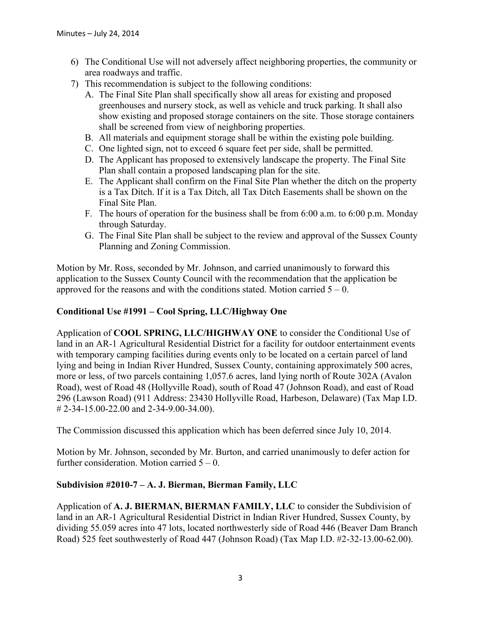- 6) The Conditional Use will not adversely affect neighboring properties, the community or area roadways and traffic.
- 7) This recommendation is subject to the following conditions:
	- A. The Final Site Plan shall specifically show all areas for existing and proposed greenhouses and nursery stock, as well as vehicle and truck parking. It shall also show existing and proposed storage containers on the site. Those storage containers shall be screened from view of neighboring properties.
	- B. All materials and equipment storage shall be within the existing pole building.
	- C. One lighted sign, not to exceed 6 square feet per side, shall be permitted.
	- D. The Applicant has proposed to extensively landscape the property. The Final Site Plan shall contain a proposed landscaping plan for the site.
	- E. The Applicant shall confirm on the Final Site Plan whether the ditch on the property is a Tax Ditch. If it is a Tax Ditch, all Tax Ditch Easements shall be shown on the Final Site Plan.
	- F. The hours of operation for the business shall be from 6:00 a.m. to 6:00 p.m. Monday through Saturday.
	- G. The Final Site Plan shall be subject to the review and approval of the Sussex County Planning and Zoning Commission.

Motion by Mr. Ross, seconded by Mr. Johnson, and carried unanimously to forward this application to the Sussex County Council with the recommendation that the application be approved for the reasons and with the conditions stated. Motion carried  $5 - 0$ .

# **Conditional Use #1991 – Cool Spring, LLC/Highway One**

Application of **COOL SPRING, LLC/HIGHWAY ONE** to consider the Conditional Use of land in an AR-1 Agricultural Residential District for a facility for outdoor entertainment events with temporary camping facilities during events only to be located on a certain parcel of land lying and being in Indian River Hundred, Sussex County, containing approximately 500 acres, more or less, of two parcels containing 1,057.6 acres, land lying north of Route 302A (Avalon Road), west of Road 48 (Hollyville Road), south of Road 47 (Johnson Road), and east of Road 296 (Lawson Road) (911 Address: 23430 Hollyville Road, Harbeson, Delaware) (Tax Map I.D. # 2-34-15.00-22.00 and 2-34-9.00-34.00).

The Commission discussed this application which has been deferred since July 10, 2014.

Motion by Mr. Johnson, seconded by Mr. Burton, and carried unanimously to defer action for further consideration. Motion carried  $5 - 0$ .

# **Subdivision #2010-7 – A. J. Bierman, Bierman Family, LLC**

Application of **A. J. BIERMAN, BIERMAN FAMILY, LLC** to consider the Subdivision of land in an AR-1 Agricultural Residential District in Indian River Hundred, Sussex County, by dividing 55.059 acres into 47 lots, located northwesterly side of Road 446 (Beaver Dam Branch Road) 525 feet southwesterly of Road 447 (Johnson Road) (Tax Map I.D. #2-32-13.00-62.00).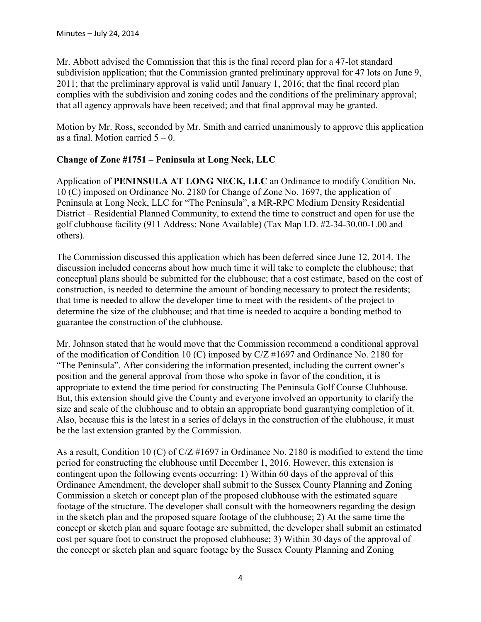Mr. Abbott advised the Commission that this is the final record plan for a 47-lot standard subdivision application; that the Commission granted preliminary approval for 47 lots on June 9, 2011; that the preliminary approval is valid until January 1, 2016; that the final record plan complies with the subdivision and zoning codes and the conditions of the preliminary approval; that all agency approvals have been received; and that final approval may be granted.

Motion by Mr. Ross, seconded by Mr. Smith and carried unanimously to approve this application as a final. Motion carried  $5 - 0$ .

# **Change of Zone #1751 – Peninsula at Long Neck, LLC**

Application of **PENINSULA AT LONG NECK, LLC** an Ordinance to modify Condition No. 10 (C) imposed on Ordinance No. 2180 for Change of Zone No. 1697, the application of Peninsula at Long Neck, LLC for "The Peninsula", a MR-RPC Medium Density Residential District – Residential Planned Community, to extend the time to construct and open for use the golf clubhouse facility (911 Address: None Available) (Tax Map I.D. #2-34-30.00-1.00 and others).

The Commission discussed this application which has been deferred since June 12, 2014. The discussion included concerns about how much time it will take to complete the clubhouse; that conceptual plans should be submitted for the clubhouse; that a cost estimate, based on the cost of construction, is needed to determine the amount of bonding necessary to protect the residents; that time is needed to allow the developer time to meet with the residents of the project to determine the size of the clubhouse; and that time is needed to acquire a bonding method to guarantee the construction of the clubhouse.

Mr. Johnson stated that he would move that the Commission recommend a conditional approval of the modification of Condition 10 (C) imposed by C/Z #1697 and Ordinance No. 2180 for "The Peninsula". After considering the information presented, including the current owner's position and the general approval from those who spoke in favor of the condition, it is appropriate to extend the time period for constructing The Peninsula Golf Course Clubhouse. But, this extension should give the County and everyone involved an opportunity to clarify the size and scale of the clubhouse and to obtain an appropriate bond guarantying completion of it. Also, because this is the latest in a series of delays in the construction of the clubhouse, it must be the last extension granted by the Commission.

As a result, Condition 10 (C) of C/Z #1697 in Ordinance No. 2180 is modified to extend the time period for constructing the clubhouse until December 1, 2016. However, this extension is contingent upon the following events occurring: 1) Within 60 days of the approval of this Ordinance Amendment, the developer shall submit to the Sussex County Planning and Zoning Commission a sketch or concept plan of the proposed clubhouse with the estimated square footage of the structure. The developer shall consult with the homeowners regarding the design in the sketch plan and the proposed square footage of the clubhouse; 2) At the same time the concept or sketch plan and square footage are submitted, the developer shall submit an estimated cost per square foot to construct the proposed clubhouse; 3) Within 30 days of the approval of the concept or sketch plan and square footage by the Sussex County Planning and Zoning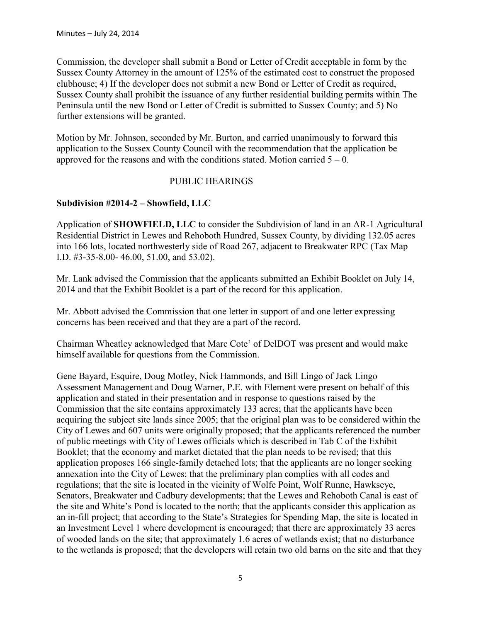Commission, the developer shall submit a Bond or Letter of Credit acceptable in form by the Sussex County Attorney in the amount of 125% of the estimated cost to construct the proposed clubhouse; 4) If the developer does not submit a new Bond or Letter of Credit as required, Sussex County shall prohibit the issuance of any further residential building permits within The Peninsula until the new Bond or Letter of Credit is submitted to Sussex County; and 5) No further extensions will be granted.

Motion by Mr. Johnson, seconded by Mr. Burton, and carried unanimously to forward this application to the Sussex County Council with the recommendation that the application be approved for the reasons and with the conditions stated. Motion carried  $5 - 0$ .

# PUBLIC HEARINGS

### **Subdivision #2014-2 – Showfield, LLC**

Application of **SHOWFIELD, LLC** to consider the Subdivision of land in an AR-1 Agricultural Residential District in Lewes and Rehoboth Hundred, Sussex County, by dividing 132.05 acres into 166 lots, located northwesterly side of Road 267, adjacent to Breakwater RPC (Tax Map I.D. #3-35-8.00- 46.00, 51.00, and 53.02).

Mr. Lank advised the Commission that the applicants submitted an Exhibit Booklet on July 14, 2014 and that the Exhibit Booklet is a part of the record for this application.

Mr. Abbott advised the Commission that one letter in support of and one letter expressing concerns has been received and that they are a part of the record.

Chairman Wheatley acknowledged that Marc Cote' of DelDOT was present and would make himself available for questions from the Commission.

Gene Bayard, Esquire, Doug Motley, Nick Hammonds, and Bill Lingo of Jack Lingo Assessment Management and Doug Warner, P.E. with Element were present on behalf of this application and stated in their presentation and in response to questions raised by the Commission that the site contains approximately 133 acres; that the applicants have been acquiring the subject site lands since 2005; that the original plan was to be considered within the City of Lewes and 607 units were originally proposed; that the applicants referenced the number of public meetings with City of Lewes officials which is described in Tab C of the Exhibit Booklet; that the economy and market dictated that the plan needs to be revised; that this application proposes 166 single-family detached lots; that the applicants are no longer seeking annexation into the City of Lewes; that the preliminary plan complies with all codes and regulations; that the site is located in the vicinity of Wolfe Point, Wolf Runne, Hawkseye, Senators, Breakwater and Cadbury developments; that the Lewes and Rehoboth Canal is east of the site and White's Pond is located to the north; that the applicants consider this application as an in-fill project; that according to the State's Strategies for Spending Map, the site is located in an Investment Level 1 where development is encouraged; that there are approximately 33 acres of wooded lands on the site; that approximately 1.6 acres of wetlands exist; that no disturbance to the wetlands is proposed; that the developers will retain two old barns on the site and that they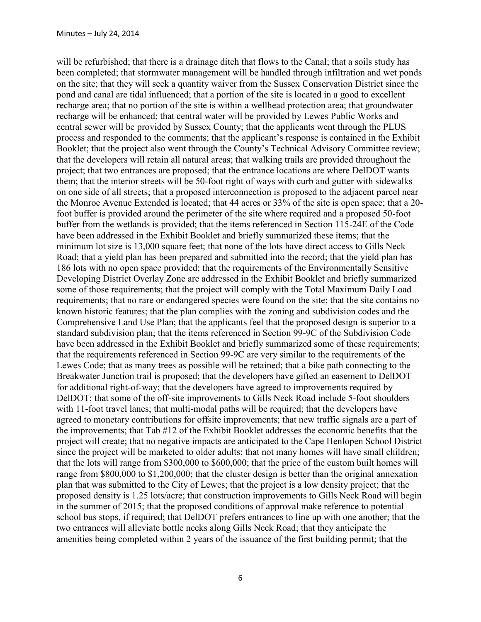will be refurbished; that there is a drainage ditch that flows to the Canal; that a soils study has been completed; that stormwater management will be handled through infiltration and wet ponds on the site; that they will seek a quantity waiver from the Sussex Conservation District since the pond and canal are tidal influenced; that a portion of the site is located in a good to excellent recharge area; that no portion of the site is within a wellhead protection area; that groundwater recharge will be enhanced; that central water will be provided by Lewes Public Works and central sewer will be provided by Sussex County; that the applicants went through the PLUS process and responded to the comments; that the applicant's response is contained in the Exhibit Booklet; that the project also went through the County's Technical Advisory Committee review; that the developers will retain all natural areas; that walking trails are provided throughout the project; that two entrances are proposed; that the entrance locations are where DelDOT wants them; that the interior streets will be 50-foot right of ways with curb and gutter with sidewalks on one side of all streets; that a proposed interconnection is proposed to the adjacent parcel near the Monroe Avenue Extended is located; that 44 acres or 33% of the site is open space; that a 20 foot buffer is provided around the perimeter of the site where required and a proposed 50-foot buffer from the wetlands is provided; that the items referenced in Section 115-24E of the Code have been addressed in the Exhibit Booklet and briefly summarized these items; that the minimum lot size is 13,000 square feet; that none of the lots have direct access to Gills Neck Road; that a yield plan has been prepared and submitted into the record; that the yield plan has 186 lots with no open space provided; that the requirements of the Environmentally Sensitive Developing District Overlay Zone are addressed in the Exhibit Booklet and briefly summarized some of those requirements; that the project will comply with the Total Maximum Daily Load requirements; that no rare or endangered species were found on the site; that the site contains no known historic features; that the plan complies with the zoning and subdivision codes and the Comprehensive Land Use Plan; that the applicants feel that the proposed design is superior to a standard subdivision plan; that the items referenced in Section 99-9C of the Subdivision Code have been addressed in the Exhibit Booklet and briefly summarized some of these requirements; that the requirements referenced in Section 99-9C are very similar to the requirements of the Lewes Code; that as many trees as possible will be retained; that a bike path connecting to the Breakwater Junction trail is proposed; that the developers have gifted an easement to DelDOT for additional right-of-way; that the developers have agreed to improvements required by DelDOT; that some of the off-site improvements to Gills Neck Road include 5-foot shoulders with 11-foot travel lanes; that multi-modal paths will be required; that the developers have agreed to monetary contributions for offsite improvements; that new traffic signals are a part of the improvements; that Tab #12 of the Exhibit Booklet addresses the economic benefits that the project will create; that no negative impacts are anticipated to the Cape Henlopen School District since the project will be marketed to older adults; that not many homes will have small children; that the lots will range from \$300,000 to \$600,000; that the price of the custom built homes will range from \$800,000 to \$1,200,000; that the cluster design is better than the original annexation plan that was submitted to the City of Lewes; that the project is a low density project; that the proposed density is 1.25 lots/acre; that construction improvements to Gills Neck Road will begin in the summer of 2015; that the proposed conditions of approval make reference to potential school bus stops, if required; that DelDOT prefers entrances to line up with one another; that the two entrances will alleviate bottle necks along Gills Neck Road; that they anticipate the amenities being completed within 2 years of the issuance of the first building permit; that the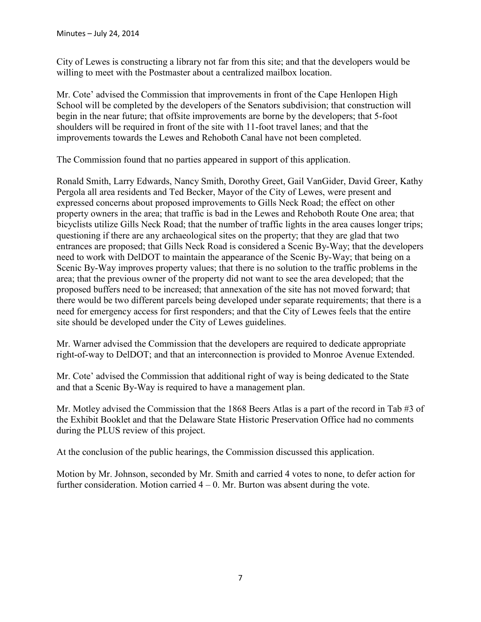City of Lewes is constructing a library not far from this site; and that the developers would be willing to meet with the Postmaster about a centralized mailbox location.

Mr. Cote' advised the Commission that improvements in front of the Cape Henlopen High School will be completed by the developers of the Senators subdivision; that construction will begin in the near future; that offsite improvements are borne by the developers; that 5-foot shoulders will be required in front of the site with 11-foot travel lanes; and that the improvements towards the Lewes and Rehoboth Canal have not been completed.

The Commission found that no parties appeared in support of this application.

Ronald Smith, Larry Edwards, Nancy Smith, Dorothy Greet, Gail VanGider, David Greer, Kathy Pergola all area residents and Ted Becker, Mayor of the City of Lewes, were present and expressed concerns about proposed improvements to Gills Neck Road; the effect on other property owners in the area; that traffic is bad in the Lewes and Rehoboth Route One area; that bicyclists utilize Gills Neck Road; that the number of traffic lights in the area causes longer trips; questioning if there are any archaeological sites on the property; that they are glad that two entrances are proposed; that Gills Neck Road is considered a Scenic By-Way; that the developers need to work with DelDOT to maintain the appearance of the Scenic By-Way; that being on a Scenic By-Way improves property values; that there is no solution to the traffic problems in the area; that the previous owner of the property did not want to see the area developed; that the proposed buffers need to be increased; that annexation of the site has not moved forward; that there would be two different parcels being developed under separate requirements; that there is a need for emergency access for first responders; and that the City of Lewes feels that the entire site should be developed under the City of Lewes guidelines.

Mr. Warner advised the Commission that the developers are required to dedicate appropriate right-of-way to DelDOT; and that an interconnection is provided to Monroe Avenue Extended.

Mr. Cote' advised the Commission that additional right of way is being dedicated to the State and that a Scenic By-Way is required to have a management plan.

Mr. Motley advised the Commission that the 1868 Beers Atlas is a part of the record in Tab #3 of the Exhibit Booklet and that the Delaware State Historic Preservation Office had no comments during the PLUS review of this project.

At the conclusion of the public hearings, the Commission discussed this application.

Motion by Mr. Johnson, seconded by Mr. Smith and carried 4 votes to none, to defer action for further consideration. Motion carried  $4 - 0$ . Mr. Burton was absent during the vote.